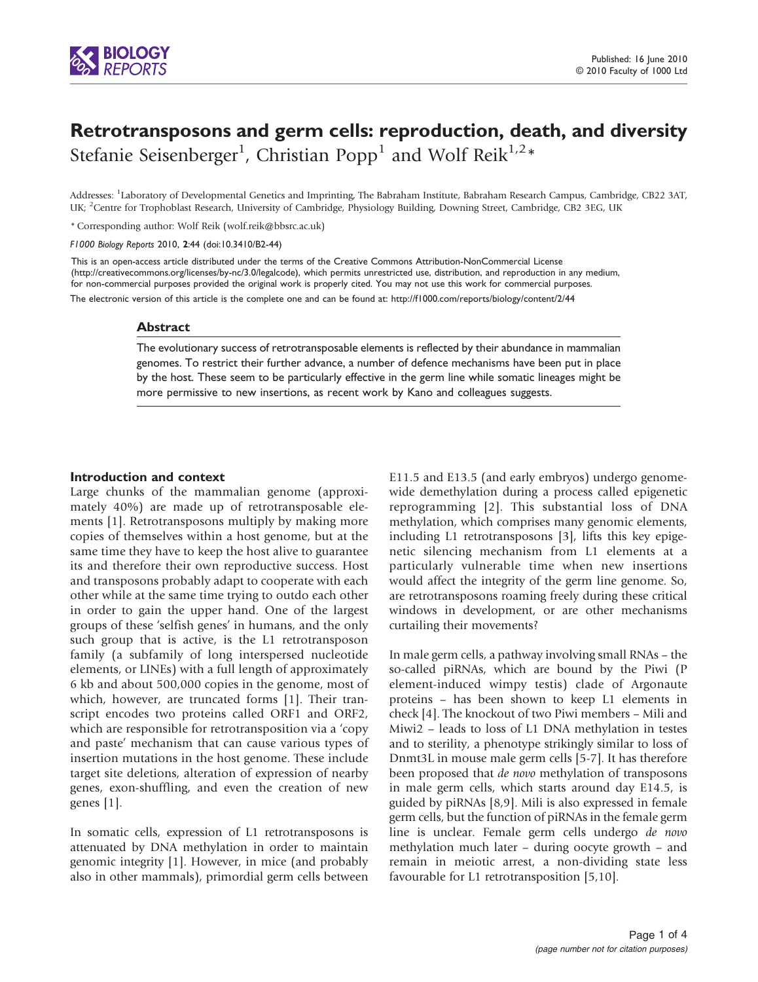

# Retrotransposons and germ cells: reproduction, death, and diversity Stefanie Seisenberger<sup>1</sup>, Christian Popp<sup>1</sup> and Wolf Reik<sup>1,2</sup>\*

Addresses: <sup>1</sup>Laboratory of Developmental Genetics and Imprinting, The Babraham Institute, Babraham Research Campus, Cambridge, CB22 3AT, UK; <sup>2</sup>Centre for Trophoblast Research, University of Cambridge, Physiology Building, Downing Street, Cambridge, CB2 3EG, UK

\* Corresponding author: Wolf Reik ([wolf.reik@bbsrc.ac.uk](mailto:wolf.reik@bbsrc.ac.uk))

F1000 Biology Reports 2010, 2:44 (doi:10.3410/B2-44)

The electronic version of this article is the complete one and can be found at: http://f1000.com/reports/biology/content/2/44 for non-commercial purposes provided the original work is properly cited. You may not use this work for commercial purposes. This is an open-access article distributed under the terms of the Creative Com[mons Attribution-NonCommercial License](http://f1000.com/reports/biology/content/2/44) (http://creativecommons.org/licenses/by-nc/3.0/legalcode), which permits unrestricted use, distribution, and reproduction in any medium,

### Abstract

The evolutionary success of retrotransposable elements is reflected by their abundance in mammalian genomes. To restrict their further advance, a number of defence mechanisms have been put in place by the host. These seem to be particularly effective in the germ line while somatic lineages might be more permissive to new insertions, as recent work by Kano and colleagues suggests.

### Introduction and context

Large chunks of the mammalian genome (approximately 40%) are made up of retrotransposable elements [[1\]](#page-2-0). Retrotransposons multiply by making more copies of themselves within a host genome, but at the same time they have to keep the host alive to guarantee its and therefore their own reproductive success. Host and transposons probably adapt to cooperate with each other while at the same time trying to outdo each other in order to gain the upper hand. One of the largest groups of these 'selfish genes' in humans, and the only such group that is active, is the L1 retrotransposon family (a subfamily of long interspersed nucleotide elements, or LINEs) with a full length of approximately 6 kb and about 500,000 copies in the genome, most of which, however, are truncated forms [[1\]](#page-2-0). Their transcript encodes two proteins called ORF1 and ORF2, which are responsible for retrotransposition via a 'copy and paste' mechanism that can cause various types of insertion mutations in the host genome. These include target site deletions, alteration of expression of nearby genes, exon-shuffling, and even the creation of new genes [\[1\]](#page-2-0).

In somatic cells, expression of L1 retrotransposons is attenuated by DNA methylation in order to maintain genomic integrity [\[1\]](#page-2-0). However, in mice (and probably also in other mammals), primordial germ cells between

E11.5 and E13.5 (and early embryos) undergo genomewide demethylation during a process called epigenetic reprogramming [[2](#page-2-0)]. This substantial loss of DNA methylation, which comprises many genomic elements, including L1 retrotransposons [[3](#page-2-0)], lifts this key epigenetic silencing mechanism from L1 elements at a particularly vulnerable time when new insertions would affect the integrity of the germ line genome. So, are retrotransposons roaming freely during these critical windows in development, or are other mechanisms curtailing their movements?

In male germ cells, a pathway involving small RNAs – the so-called piRNAs, which are bound by the Piwi (P element-induced wimpy testis) clade of Argonaute proteins – has been shown to keep L1 elements in check [\[4\]](#page-2-0). The knockout of two Piwi members – Mili and Miwi2 – leads to loss of L1 DNA methylation in testes and to sterility, a phenotype strikingly similar to loss of Dnmt3L in mouse male germ cells [[5-7\]](#page-2-0). It has therefore been proposed that de novo methylation of transposons in male germ cells, which starts around day E14.5, is guided by piRNAs [\[8,9\]](#page-2-0). Mili is also expressed in female germ cells, but the function of piRNAs in the female germ line is unclear. Female germ cells undergo de novo methylation much later – during oocyte growth – and remain in meiotic arrest, a non-dividing state less favourable for L1 retrotransposition [\[5,10\]](#page-2-0).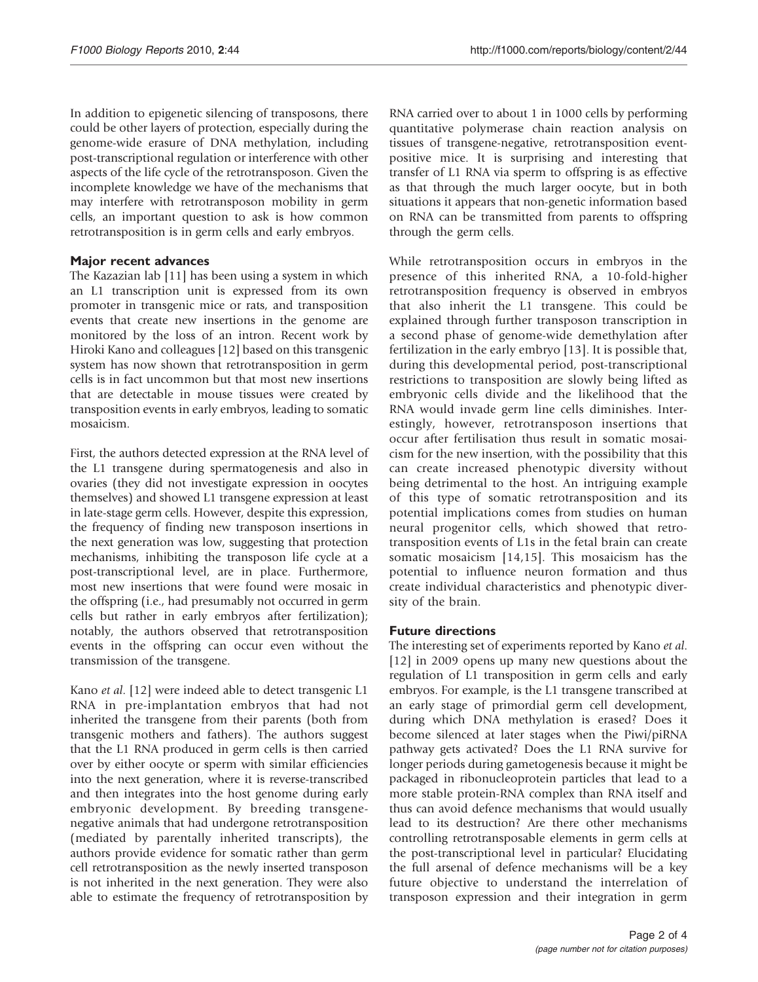In addition to epigenetic silencing of transposons, there could be other layers of protection, especially during the genome-wide erasure of DNA methylation, including post-transcriptional regulation or interference with other aspects of the life cycle of the retrotransposon. Given the incomplete knowledge we have of the mechanisms that may interfere with retrotransposon mobility in germ cells, an important question to ask is how common retrotransposition is in germ cells and early embryos.

## Major recent advances

The Kazazian lab [\[11](#page-2-0)] has been using a system in which an L1 transcription unit is expressed from its own promoter in transgenic mice or rats, and transposition events that create new insertions in the genome are monitored by the loss of an intron. Recent work by Hiroki Kano and colleagues [\[12\]](#page-2-0) based on this transgenic system has now shown that retrotransposition in germ cells is in fact uncommon but that most new insertions that are detectable in mouse tissues were created by transposition events in early embryos, leading to somatic mosaicism.

First, the authors detected expression at the RNA level of the L1 transgene during spermatogenesis and also in ovaries (they did not investigate expression in oocytes themselves) and showed L1 transgene expression at least in late-stage germ cells. However, despite this expression, the frequency of finding new transposon insertions in the next generation was low, suggesting that protection mechanisms, inhibiting the transposon life cycle at a post-transcriptional level, are in place. Furthermore, most new insertions that were found were mosaic in the offspring (i.e., had presumably not occurred in germ cells but rather in early embryos after fertilization); notably, the authors observed that retrotransposition events in the offspring can occur even without the transmission of the transgene.

Kano et al. [[12\]](#page-2-0) were indeed able to detect transgenic L1 RNA in pre-implantation embryos that had not inherited the transgene from their parents (both from transgenic mothers and fathers). The authors suggest that the L1 RNA produced in germ cells is then carried over by either oocyte or sperm with similar efficiencies into the next generation, where it is reverse-transcribed and then integrates into the host genome during early embryonic development. By breeding transgenenegative animals that had undergone retrotransposition (mediated by parentally inherited transcripts), the authors provide evidence for somatic rather than germ cell retrotransposition as the newly inserted transposon is not inherited in the next generation. They were also able to estimate the frequency of retrotransposition by

RNA carried over to about 1 in 1000 cells by performing quantitative polymerase chain reaction analysis on tissues of transgene-negative, retrotransposition eventpositive mice. It is surprising and interesting that transfer of L1 RNA via sperm to offspring is as effective as that through the much larger oocyte, but in both situations it appears that non-genetic information based on RNA can be transmitted from parents to offspring through the germ cells.

While retrotransposition occurs in embryos in the presence of this inherited RNA, a 10-fold-higher retrotransposition frequency is observed in embryos that also inherit the L1 transgene. This could be explained through further transposon transcription in a second phase of genome-wide demethylation after fertilization in the early embryo [[13](#page-2-0)]. It is possible that, during this developmental period, post-transcriptional restrictions to transposition are slowly being lifted as embryonic cells divide and the likelihood that the RNA would invade germ line cells diminishes. Interestingly, however, retrotransposon insertions that occur after fertilisation thus result in somatic mosaicism for the new insertion, with the possibility that this can create increased phenotypic diversity without being detrimental to the host. An intriguing example of this type of somatic retrotransposition and its potential implications comes from studies on human neural progenitor cells, which showed that retrotransposition events of L1s in the fetal brain can create somatic mosaicism [[14,15\]](#page-2-0). This mosaicism has the potential to influence neuron formation and thus create individual characteristics and phenotypic diversity of the brain.

# Future directions

The interesting set of experiments reported by Kano et al. [\[12](#page-2-0)] in 2009 opens up many new questions about the regulation of L1 transposition in germ cells and early embryos. For example, is the L1 transgene transcribed at an early stage of primordial germ cell development, during which DNA methylation is erased? Does it become silenced at later stages when the Piwi/piRNA pathway gets activated? Does the L1 RNA survive for longer periods during gametogenesis because it might be packaged in ribonucleoprotein particles that lead to a more stable protein-RNA complex than RNA itself and thus can avoid defence mechanisms that would usually lead to its destruction? Are there other mechanisms controlling retrotransposable elements in germ cells at the post-transcriptional level in particular? Elucidating the full arsenal of defence mechanisms will be a key future objective to understand the interrelation of transposon expression and their integration in germ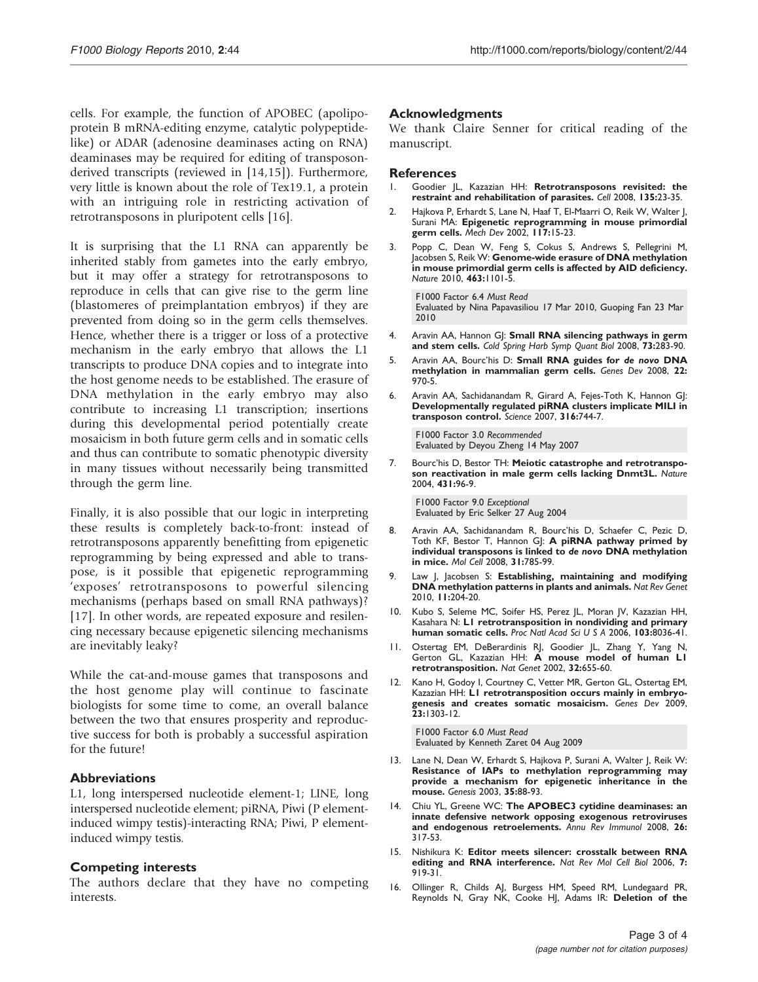<span id="page-2-0"></span>cells. For example, the function of APOBEC (apolipoprotein B mRNA-editing enzyme, catalytic polypeptidelike) or ADAR (adenosine deaminases acting on RNA) deaminases may be required for editing of transposonderived transcripts (reviewed in [14,15]). Furthermore, very little is known about the role of Tex19.1, a protein with an intriguing role in restricting activation of retrotransposons in pluripotent cells [16].

It is surprising that the L1 RNA can apparently be inherited stably from gametes into the early embryo, but it may offer a strategy for retrotransposons to reproduce in cells that can give rise to the germ line (blastomeres of preimplantation embryos) if they are prevented from doing so in the germ cells themselves. Hence, whether there is a trigger or loss of a protective mechanism in the early embryo that allows the L1 transcripts to produce DNA copies and to integrate into the host genome needs to be established. The erasure of DNA methylation in the early embryo may also contribute to increasing L1 transcription; insertions during this developmental period potentially create mosaicism in both future germ cells and in somatic cells and thus can contribute to somatic phenotypic diversity in many tissues without necessarily being transmitted through the germ line.

Finally, it is also possible that our logic in interpreting these results is completely back-to-front: instead of retrotransposons apparently benefitting from epigenetic reprogramming by being expressed and able to transpose, is it possible that epigenetic reprogramming 'exposes' retrotransposons to powerful silencing mechanisms (perhaps based on small RNA pathways)? [\[17](#page-3-0)]. In other words, are repeated exposure and resilencing necessary because epigenetic silencing mechanisms are inevitably leaky?

While the cat-and-mouse games that transposons and the host genome play will continue to fascinate biologists for some time to come, an overall balance between the two that ensures prosperity and reproductive success for both is probably a successful aspiration for the future!

## Abbreviations

L1, long interspersed nucleotide element-1; LINE, long interspersed nucleotide element; piRNA, Piwi (P elementinduced wimpy testis)-interacting RNA; Piwi, P elementinduced wimpy testis.

## Competing interests

The authors declare that they have no competing interests.

## Acknowledgments

We thank Claire Senner for critical reading of the manuscript.

## **References**

- 1. Goodier JL, Kazazian HH: Retrotransposons revisited: the restraint and rehabilitation of parasites. Cell 2008, 135:23-35.
- 2. Hajkova P, Erhardt S, Lane N, Haaf T, El-Maarri O, Reik W, Walter J, Surani MA: Epigenetic reprogramming in mouse primordial germ cells. Mech Dev 2002, 117:15-23.
- 3. Popp C, Dean W, Feng S, Cokus S, Andrews S, Pellegrini M, Jacobsen S, Reik W: Genome-wide erasure of DNA methylation in mouse primordial germ cells is affected by AID deficiency. Nature 2010, 463:1101-5.

[F1000 Factor 6.4](http://www.f1000biology.com/article/id/2570957) Must Read Evaluated by Nina Papavasiliou 17 Mar 2010, Guoping Fan 23 Mar 2010

- 4. Aravin AA, Hannon GJ: Small RNA silencing pathways in germ and stem cells. Cold Spring Harb Symp Quant Biol 2008, 73:283-90.
- 5. Aravin AA, Bourc'his D: Small RNA guides for de novo DNA methylation in mammalian germ cells. Genes Dev 2008, 22: 970-5.
- 6. Aravin AA, Sachidanandam R, Girard A, Fejes-Toth K, Hannon GJ: Developmentally regulated piRNA clusters implicate MILI in transposon control. Science 2007, 316:744-7.

[F1000 Factor 3.0](http://www.f1000biology.com/article/id/1083010) Recommended Evaluated by Deyou Zheng 14 May 2007

7. Bourc'his D, Bestor TH: Meiotic catastrophe and retrotransposon reactivation in male germ cells lacking Dnmt3L. Nature 2004, 431:96-9.

[F1000 Factor 9.0](http://www.f1000biology.com/article/id/1020801) Exceptional Evaluated by Eric Selker 27 Aug 2004

- 8. Aravin AA, Sachidanandam R, Bourc'his D, Schaefer C, Pezic D, Toth KF, Bestor T, Hannon GJ: A piRNA pathway primed by individual transposons is linked to de novo DNA methylation in mice. Mol Cell 2008, 31:785-99.
- 9. Law J, Jacobsen S: Establishing, maintaining and modifying DNA methylation patterns in plants and animals. Nat Rev Genet 2010, 11:204-20.
- 10. Kubo S, Seleme MC, Soifer HS, Perez JL, Moran JV, Kazazian HH, Kasahara N: L1 retrotransposition in nondividing and primary human somatic cells. Proc Natl Acad Sci U S A 2006, 103:8036-41.
- 11. Ostertag EM, DeBerardinis RJ, Goodier JL, Zhang Y, Yang N, Gerton GL, Kazazian HH: A mouse model of human L1 retrotransposition. Nat Genet 2002, 32:655-60.
- 12. Kano H, Godoy I, Courtney C, Vetter MR, Gerton GL, Ostertag EM, Kazazian HH: L1 retrotransposition occurs mainly in embryogenesis and creates somatic mosaicism. Genes Dev 2009,  $23:1303-12.$

[F1000 Factor 6.0](http://www.f1000biology.com/article/id/1163121) Must Read Evaluated by Kenneth Zaret 04 Aug 2009

- 13. Lane N, Dean W, Erhardt S, Hajkova P, Surani A, Walter J, Reik W: Resistance of IAPs to methylation reprogramming may provide a mechanism for epigenetic inheritance in the mouse. Genesis 2003, 35:88-93.
- 14. Chiu YL, Greene WC: The APOBEC3 cytidine deaminases: an innate defensive network opposing exogenous retroviruses and endogenous retroelements. Annu Rev Immunol 2008, 26: 317-53.
- 15. Nishikura K: Editor meets silencer: crosstalk between RNA editing and RNA interference. Nat Rev Mol Cell Biol 2006, 7: 919-31.
- 16. Ollinger R, Childs AJ, Burgess HM, Speed RM, Lundegaard PR, Reynolds N, Gray NK, Cooke HJ, Adams IR: Deletion of the